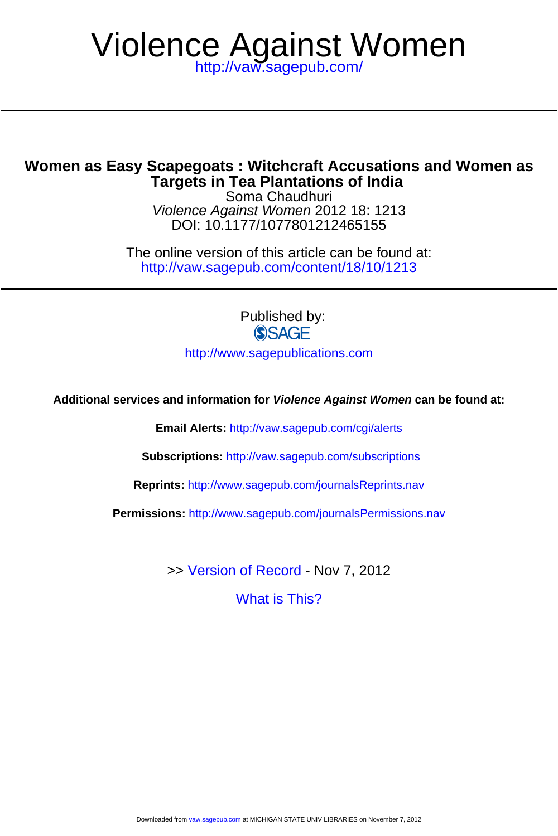# <http://vaw.sagepub.com/> Violence Against Women

# **Targets in Tea Plantations of India Women as Easy Scapegoats : Witchcraft Accusations and Women as**

DOI: 10.1177/1077801212465155 Violence Against Women 2012 18: 1213 Soma Chaudhuri

<http://vaw.sagepub.com/content/18/10/1213> The online version of this article can be found at:

> Published by: **SSAGE**

<http://www.sagepublications.com>

**Additional services and information for Violence Against Women can be found at:**

**Email Alerts:** <http://vaw.sagepub.com/cgi/alerts>

**Subscriptions:** <http://vaw.sagepub.com/subscriptions>

**Reprints:** <http://www.sagepub.com/journalsReprints.nav>

**Permissions:** <http://www.sagepub.com/journalsPermissions.nav>

>> [Version of Record -](http://vaw.sagepub.com/content/18/10/1213.full.pdf) Nov 7, 2012

[What is This?](http://online.sagepub.com/site/sphelp/vorhelp.xhtml)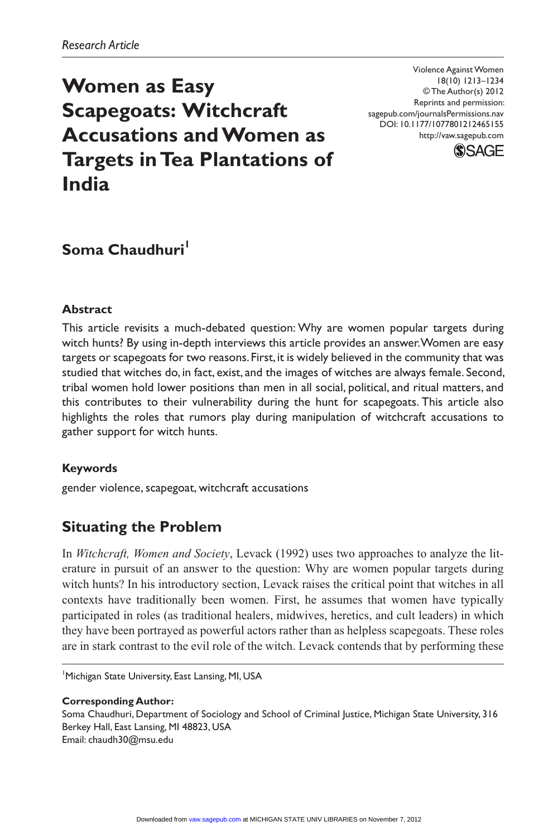# **Women as Easy Scapegoats: Witchcraft Accusations and Women as Targets in Tea Plantations of India**

Violence Against Women 18(10) 1213–1234 © The Author(s) 2012 Reprints and permission: sagepub.com/journalsPermissions.nav DOI: 10.1177/1077801212465155 http://vaw.sagepub.com



# **Soma Chaudhuri**<sup>1</sup>

#### **Abstract**

This article revisits a much-debated question: Why are women popular targets during witch hunts? By using in-depth interviews this article provides an answer. Women are easy targets or scapegoats for two reasons. First, it is widely believed in the community that was studied that witches do, in fact, exist, and the images of witches are always female. Second, tribal women hold lower positions than men in all social, political, and ritual matters, and this contributes to their vulnerability during the hunt for scapegoats. This article also highlights the roles that rumors play during manipulation of witchcraft accusations to gather support for witch hunts.

#### **Keywords**

gender violence, scapegoat, witchcraft accusations

# **Situating the Problem**

In *Witchcraft, Women and Society*, Levack (1992) uses two approaches to analyze the literature in pursuit of an answer to the question: Why are women popular targets during witch hunts? In his introductory section, Levack raises the critical point that witches in all contexts have traditionally been women. First, he assumes that women have typically participated in roles (as traditional healers, midwives, heretics, and cult leaders) in which they have been portrayed as powerful actors rather than as helpless scapegoats. These roles are in stark contrast to the evil role of the witch. Levack contends that by performing these

<sup>1</sup>Michigan State University, East Lansing, MI, USA

#### **Corresponding Author:**

Soma Chaudhuri, Department of Sociology and School of Criminal Justice, Michigan State University, 316 Berkey Hall, East Lansing, MI 48823, USA Email: chaudh30@msu.edu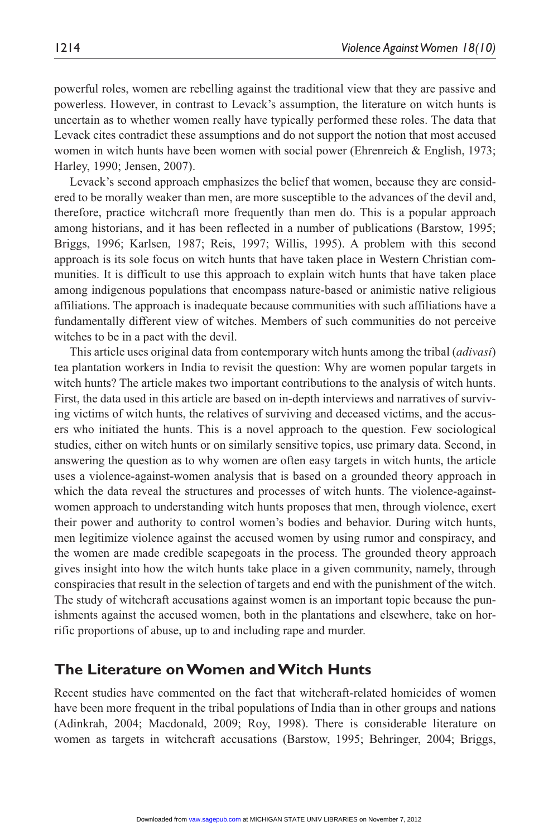powerful roles, women are rebelling against the traditional view that they are passive and powerless. However, in contrast to Levack's assumption, the literature on witch hunts is uncertain as to whether women really have typically performed these roles. The data that Levack cites contradict these assumptions and do not support the notion that most accused women in witch hunts have been women with social power (Ehrenreich & English, 1973; Harley, 1990; Jensen, 2007).

Levack's second approach emphasizes the belief that women, because they are considered to be morally weaker than men, are more susceptible to the advances of the devil and, therefore, practice witchcraft more frequently than men do. This is a popular approach among historians, and it has been reflected in a number of publications (Barstow, 1995; Briggs, 1996; Karlsen, 1987; Reis, 1997; Willis, 1995). A problem with this second approach is its sole focus on witch hunts that have taken place in Western Christian communities. It is difficult to use this approach to explain witch hunts that have taken place among indigenous populations that encompass nature-based or animistic native religious affiliations. The approach is inadequate because communities with such affiliations have a fundamentally different view of witches. Members of such communities do not perceive witches to be in a pact with the devil.

This article uses original data from contemporary witch hunts among the tribal (*adivasi*) tea plantation workers in India to revisit the question: Why are women popular targets in witch hunts? The article makes two important contributions to the analysis of witch hunts. First, the data used in this article are based on in-depth interviews and narratives of surviving victims of witch hunts, the relatives of surviving and deceased victims, and the accusers who initiated the hunts. This is a novel approach to the question. Few sociological studies, either on witch hunts or on similarly sensitive topics, use primary data. Second, in answering the question as to why women are often easy targets in witch hunts, the article uses a violence-against-women analysis that is based on a grounded theory approach in which the data reveal the structures and processes of witch hunts. The violence-againstwomen approach to understanding witch hunts proposes that men, through violence, exert their power and authority to control women's bodies and behavior. During witch hunts, men legitimize violence against the accused women by using rumor and conspiracy, and the women are made credible scapegoats in the process. The grounded theory approach gives insight into how the witch hunts take place in a given community, namely, through conspiracies that result in the selection of targets and end with the punishment of the witch. The study of witchcraft accusations against women is an important topic because the punishments against the accused women, both in the plantations and elsewhere, take on horrific proportions of abuse, up to and including rape and murder.

## **The Literature on Women and Witch Hunts**

Recent studies have commented on the fact that witchcraft-related homicides of women have been more frequent in the tribal populations of India than in other groups and nations (Adinkrah, 2004; Macdonald, 2009; Roy, 1998). There is considerable literature on women as targets in witchcraft accusations (Barstow, 1995; Behringer, 2004; Briggs,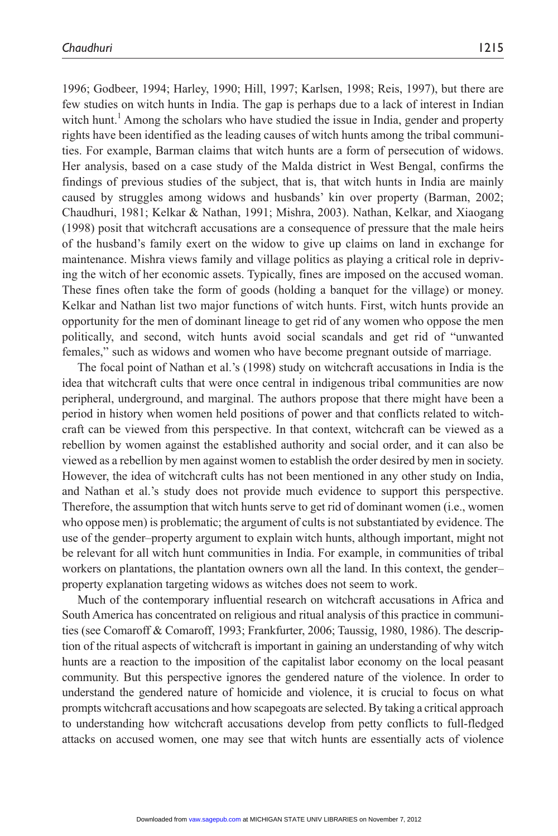1996; Godbeer, 1994; Harley, 1990; Hill, 1997; Karlsen, 1998; Reis, 1997), but there are few studies on witch hunts in India. The gap is perhaps due to a lack of interest in Indian witch hunt.<sup>1</sup> Among the scholars who have studied the issue in India, gender and property rights have been identified as the leading causes of witch hunts among the tribal communities. For example, Barman claims that witch hunts are a form of persecution of widows. Her analysis, based on a case study of the Malda district in West Bengal, confirms the findings of previous studies of the subject, that is, that witch hunts in India are mainly caused by struggles among widows and husbands' kin over property (Barman, 2002; Chaudhuri, 1981; Kelkar & Nathan, 1991; Mishra, 2003). Nathan, Kelkar, and Xiaogang (1998) posit that witchcraft accusations are a consequence of pressure that the male heirs of the husband's family exert on the widow to give up claims on land in exchange for maintenance. Mishra views family and village politics as playing a critical role in depriving the witch of her economic assets. Typically, fines are imposed on the accused woman. These fines often take the form of goods (holding a banquet for the village) or money. Kelkar and Nathan list two major functions of witch hunts. First, witch hunts provide an opportunity for the men of dominant lineage to get rid of any women who oppose the men politically, and second, witch hunts avoid social scandals and get rid of "unwanted females," such as widows and women who have become pregnant outside of marriage.

The focal point of Nathan et al.'s (1998) study on witchcraft accusations in India is the idea that witchcraft cults that were once central in indigenous tribal communities are now peripheral, underground, and marginal. The authors propose that there might have been a period in history when women held positions of power and that conflicts related to witchcraft can be viewed from this perspective. In that context, witchcraft can be viewed as a rebellion by women against the established authority and social order, and it can also be viewed as a rebellion by men against women to establish the order desired by men in society. However, the idea of witchcraft cults has not been mentioned in any other study on India, and Nathan et al.'s study does not provide much evidence to support this perspective. Therefore, the assumption that witch hunts serve to get rid of dominant women (i.e., women who oppose men) is problematic; the argument of cults is not substantiated by evidence. The use of the gender–property argument to explain witch hunts, although important, might not be relevant for all witch hunt communities in India. For example, in communities of tribal workers on plantations, the plantation owners own all the land. In this context, the gender– property explanation targeting widows as witches does not seem to work.

Much of the contemporary influential research on witchcraft accusations in Africa and South America has concentrated on religious and ritual analysis of this practice in communities (see Comaroff & Comaroff, 1993; Frankfurter, 2006; Taussig, 1980, 1986). The description of the ritual aspects of witchcraft is important in gaining an understanding of why witch hunts are a reaction to the imposition of the capitalist labor economy on the local peasant community. But this perspective ignores the gendered nature of the violence. In order to understand the gendered nature of homicide and violence, it is crucial to focus on what prompts witchcraft accusations and how scapegoats are selected. By taking a critical approach to understanding how witchcraft accusations develop from petty conflicts to full-fledged attacks on accused women, one may see that witch hunts are essentially acts of violence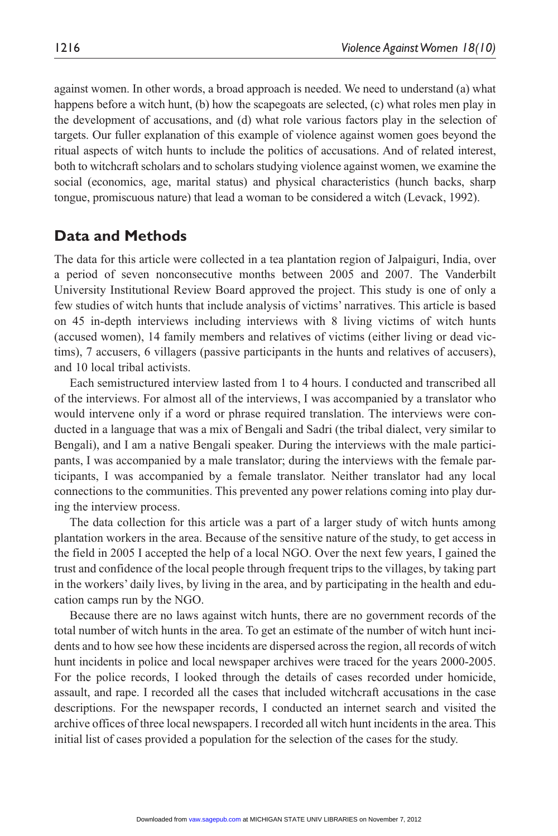against women. In other words, a broad approach is needed. We need to understand (a) what happens before a witch hunt, (b) how the scapegoats are selected, (c) what roles men play in the development of accusations, and (d) what role various factors play in the selection of targets. Our fuller explanation of this example of violence against women goes beyond the ritual aspects of witch hunts to include the politics of accusations. And of related interest, both to witchcraft scholars and to scholars studying violence against women, we examine the social (economics, age, marital status) and physical characteristics (hunch backs, sharp tongue, promiscuous nature) that lead a woman to be considered a witch (Levack, 1992).

#### **Data and Methods**

The data for this article were collected in a tea plantation region of Jalpaiguri, India, over a period of seven nonconsecutive months between 2005 and 2007. The Vanderbilt University Institutional Review Board approved the project. This study is one of only a few studies of witch hunts that include analysis of victims' narratives. This article is based on 45 in-depth interviews including interviews with 8 living victims of witch hunts (accused women), 14 family members and relatives of victims (either living or dead victims), 7 accusers, 6 villagers (passive participants in the hunts and relatives of accusers), and 10 local tribal activists.

Each semistructured interview lasted from 1 to 4 hours. I conducted and transcribed all of the interviews. For almost all of the interviews, I was accompanied by a translator who would intervene only if a word or phrase required translation. The interviews were conducted in a language that was a mix of Bengali and Sadri (the tribal dialect, very similar to Bengali), and I am a native Bengali speaker. During the interviews with the male participants, I was accompanied by a male translator; during the interviews with the female participants, I was accompanied by a female translator. Neither translator had any local connections to the communities. This prevented any power relations coming into play during the interview process.

The data collection for this article was a part of a larger study of witch hunts among plantation workers in the area. Because of the sensitive nature of the study, to get access in the field in 2005 I accepted the help of a local NGO. Over the next few years, I gained the trust and confidence of the local people through frequent trips to the villages, by taking part in the workers' daily lives, by living in the area, and by participating in the health and education camps run by the NGO.

Because there are no laws against witch hunts, there are no government records of the total number of witch hunts in the area. To get an estimate of the number of witch hunt incidents and to how see how these incidents are dispersed across the region, all records of witch hunt incidents in police and local newspaper archives were traced for the years 2000-2005. For the police records, I looked through the details of cases recorded under homicide, assault, and rape. I recorded all the cases that included witchcraft accusations in the case descriptions. For the newspaper records, I conducted an internet search and visited the archive offices of three local newspapers. I recorded all witch hunt incidents in the area. This initial list of cases provided a population for the selection of the cases for the study.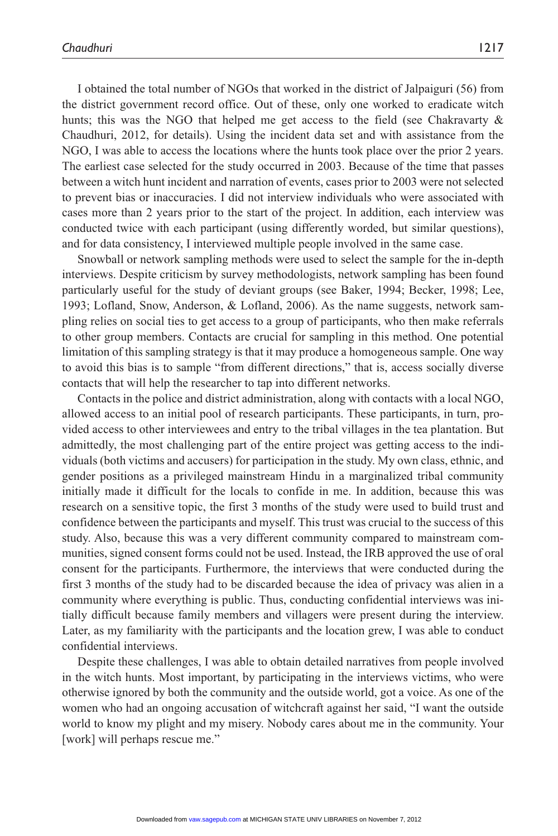I obtained the total number of NGOs that worked in the district of Jalpaiguri (56) from the district government record office. Out of these, only one worked to eradicate witch hunts; this was the NGO that helped me get access to the field (see Chakravarty & Chaudhuri, 2012, for details). Using the incident data set and with assistance from the NGO, I was able to access the locations where the hunts took place over the prior 2 years. The earliest case selected for the study occurred in 2003. Because of the time that passes between a witch hunt incident and narration of events, cases prior to 2003 were not selected to prevent bias or inaccuracies. I did not interview individuals who were associated with cases more than 2 years prior to the start of the project. In addition, each interview was conducted twice with each participant (using differently worded, but similar questions), and for data consistency, I interviewed multiple people involved in the same case.

Snowball or network sampling methods were used to select the sample for the in-depth interviews. Despite criticism by survey methodologists, network sampling has been found particularly useful for the study of deviant groups (see Baker, 1994; Becker, 1998; Lee, 1993; Lofland, Snow, Anderson, & Lofland, 2006). As the name suggests, network sampling relies on social ties to get access to a group of participants, who then make referrals to other group members. Contacts are crucial for sampling in this method. One potential limitation of this sampling strategy is that it may produce a homogeneous sample. One way to avoid this bias is to sample "from different directions," that is, access socially diverse contacts that will help the researcher to tap into different networks.

Contacts in the police and district administration, along with contacts with a local NGO, allowed access to an initial pool of research participants. These participants, in turn, provided access to other interviewees and entry to the tribal villages in the tea plantation. But admittedly, the most challenging part of the entire project was getting access to the individuals (both victims and accusers) for participation in the study. My own class, ethnic, and gender positions as a privileged mainstream Hindu in a marginalized tribal community initially made it difficult for the locals to confide in me. In addition, because this was research on a sensitive topic, the first 3 months of the study were used to build trust and confidence between the participants and myself. This trust was crucial to the success of this study. Also, because this was a very different community compared to mainstream communities, signed consent forms could not be used. Instead, the IRB approved the use of oral consent for the participants. Furthermore, the interviews that were conducted during the first 3 months of the study had to be discarded because the idea of privacy was alien in a community where everything is public. Thus, conducting confidential interviews was initially difficult because family members and villagers were present during the interview. Later, as my familiarity with the participants and the location grew, I was able to conduct confidential interviews.

Despite these challenges, I was able to obtain detailed narratives from people involved in the witch hunts. Most important, by participating in the interviews victims, who were otherwise ignored by both the community and the outside world, got a voice. As one of the women who had an ongoing accusation of witchcraft against her said, "I want the outside world to know my plight and my misery. Nobody cares about me in the community. Your [work] will perhaps rescue me."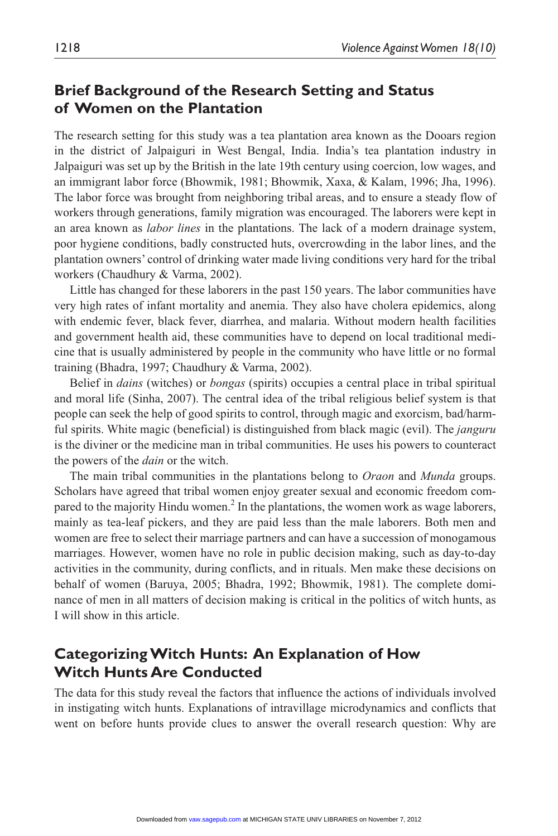# **Brief Background of the Research Setting and Status of Women on the Plantation**

The research setting for this study was a tea plantation area known as the Dooars region in the district of Jalpaiguri in West Bengal, India. India's tea plantation industry in Jalpaiguri was set up by the British in the late 19th century using coercion, low wages, and an immigrant labor force (Bhowmik, 1981; Bhowmik, Xaxa, & Kalam, 1996; Jha, 1996). The labor force was brought from neighboring tribal areas, and to ensure a steady flow of workers through generations, family migration was encouraged. The laborers were kept in an area known as *labor lines* in the plantations. The lack of a modern drainage system, poor hygiene conditions, badly constructed huts, overcrowding in the labor lines, and the plantation owners' control of drinking water made living conditions very hard for the tribal workers (Chaudhury & Varma, 2002).

Little has changed for these laborers in the past 150 years. The labor communities have very high rates of infant mortality and anemia. They also have cholera epidemics, along with endemic fever, black fever, diarrhea, and malaria. Without modern health facilities and government health aid, these communities have to depend on local traditional medicine that is usually administered by people in the community who have little or no formal training (Bhadra, 1997; Chaudhury & Varma, 2002).

Belief in *dains* (witches) or *bongas* (spirits) occupies a central place in tribal spiritual and moral life (Sinha, 2007). The central idea of the tribal religious belief system is that people can seek the help of good spirits to control, through magic and exorcism, bad/harmful spirits. White magic (beneficial) is distinguished from black magic (evil). The *janguru* is the diviner or the medicine man in tribal communities. He uses his powers to counteract the powers of the *dain* or the witch.

The main tribal communities in the plantations belong to *Oraon* and *Munda* groups. Scholars have agreed that tribal women enjoy greater sexual and economic freedom compared to the majority Hindu women.<sup>2</sup> In the plantations, the women work as wage laborers, mainly as tea-leaf pickers, and they are paid less than the male laborers. Both men and women are free to select their marriage partners and can have a succession of monogamous marriages. However, women have no role in public decision making, such as day-to-day activities in the community, during conflicts, and in rituals. Men make these decisions on behalf of women (Baruya, 2005; Bhadra, 1992; Bhowmik, 1981). The complete dominance of men in all matters of decision making is critical in the politics of witch hunts, as I will show in this article.

# **Categorizing Witch Hunts: An Explanation of How Witch Hunts Are Conducted**

The data for this study reveal the factors that influence the actions of individuals involved in instigating witch hunts. Explanations of intravillage microdynamics and conflicts that went on before hunts provide clues to answer the overall research question: Why are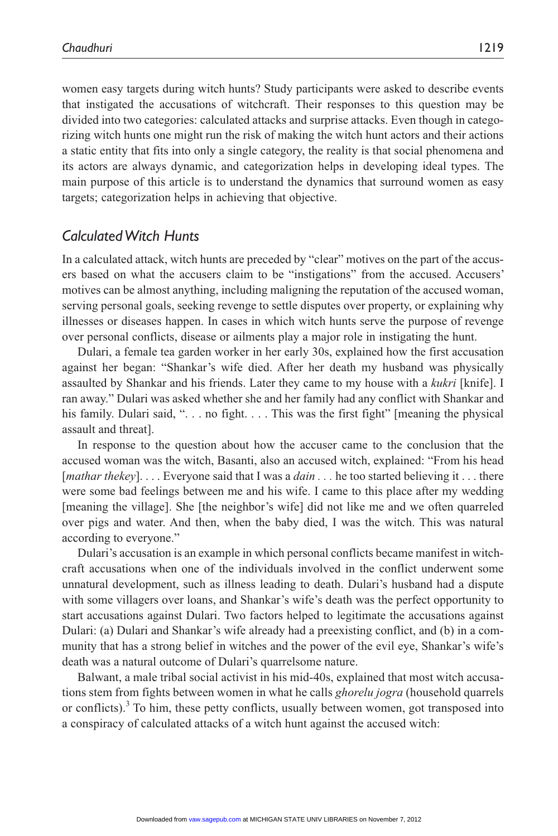women easy targets during witch hunts? Study participants were asked to describe events that instigated the accusations of witchcraft. Their responses to this question may be divided into two categories: calculated attacks and surprise attacks. Even though in categorizing witch hunts one might run the risk of making the witch hunt actors and their actions a static entity that fits into only a single category, the reality is that social phenomena and its actors are always dynamic, and categorization helps in developing ideal types. The main purpose of this article is to understand the dynamics that surround women as easy targets; categorization helps in achieving that objective.

#### *Calculated Witch Hunts*

In a calculated attack, witch hunts are preceded by "clear" motives on the part of the accusers based on what the accusers claim to be "instigations" from the accused. Accusers' motives can be almost anything, including maligning the reputation of the accused woman, serving personal goals, seeking revenge to settle disputes over property, or explaining why illnesses or diseases happen. In cases in which witch hunts serve the purpose of revenge over personal conflicts, disease or ailments play a major role in instigating the hunt.

Dulari, a female tea garden worker in her early 30s, explained how the first accusation against her began: "Shankar's wife died. After her death my husband was physically assaulted by Shankar and his friends. Later they came to my house with a *kukri* [knife]. I ran away." Dulari was asked whether she and her family had any conflict with Shankar and his family. Dulari said, ". . . no fight. . . . This was the first fight" [meaning the physical assault and threat].

In response to the question about how the accuser came to the conclusion that the accused woman was the witch, Basanti, also an accused witch, explained: "From his head [*mathar thekey*]. . . . Everyone said that I was a *dain . . .* he too started believing it . . . there were some bad feelings between me and his wife. I came to this place after my wedding [meaning the village]. She [the neighbor's wife] did not like me and we often quarreled over pigs and water. And then, when the baby died, I was the witch. This was natural according to everyone."

Dulari's accusation is an example in which personal conflicts became manifest in witchcraft accusations when one of the individuals involved in the conflict underwent some unnatural development, such as illness leading to death. Dulari's husband had a dispute with some villagers over loans, and Shankar's wife's death was the perfect opportunity to start accusations against Dulari. Two factors helped to legitimate the accusations against Dulari: (a) Dulari and Shankar's wife already had a preexisting conflict, and (b) in a community that has a strong belief in witches and the power of the evil eye, Shankar's wife's death was a natural outcome of Dulari's quarrelsome nature.

Balwant, a male tribal social activist in his mid-40s, explained that most witch accusations stem from fights between women in what he calls *ghorelu jogra* (household quarrels or conflicts).<sup>3</sup> To him, these petty conflicts, usually between women, got transposed into a conspiracy of calculated attacks of a witch hunt against the accused witch: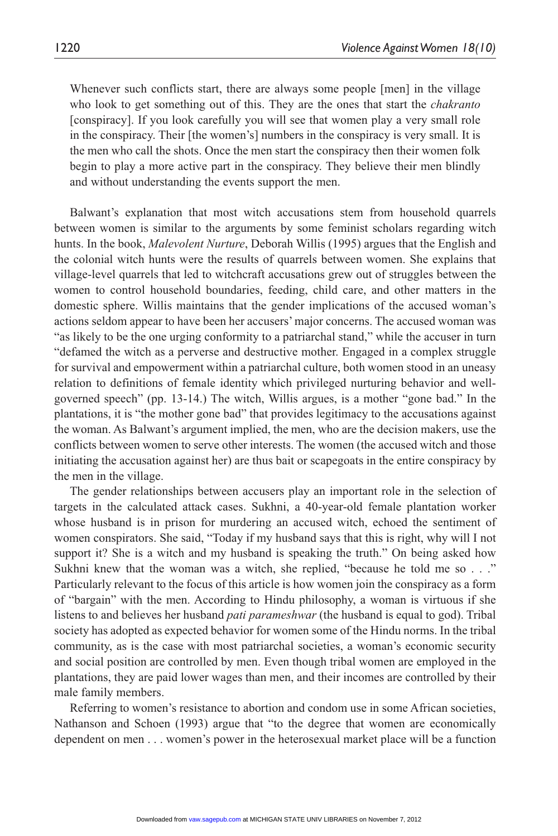Whenever such conflicts start, there are always some people [men] in the village who look to get something out of this. They are the ones that start the *chakranto* [conspiracy]. If you look carefully you will see that women play a very small role in the conspiracy. Their [the women's] numbers in the conspiracy is very small. It is the men who call the shots. Once the men start the conspiracy then their women folk begin to play a more active part in the conspiracy. They believe their men blindly and without understanding the events support the men.

Balwant's explanation that most witch accusations stem from household quarrels between women is similar to the arguments by some feminist scholars regarding witch hunts. In the book, *Malevolent Nurture*, Deborah Willis (1995) argues that the English and the colonial witch hunts were the results of quarrels between women. She explains that village-level quarrels that led to witchcraft accusations grew out of struggles between the women to control household boundaries, feeding, child care, and other matters in the domestic sphere. Willis maintains that the gender implications of the accused woman's actions seldom appear to have been her accusers' major concerns. The accused woman was "as likely to be the one urging conformity to a patriarchal stand," while the accuser in turn "defamed the witch as a perverse and destructive mother. Engaged in a complex struggle for survival and empowerment within a patriarchal culture, both women stood in an uneasy relation to definitions of female identity which privileged nurturing behavior and wellgoverned speech" (pp. 13-14.) The witch, Willis argues, is a mother "gone bad." In the plantations, it is "the mother gone bad" that provides legitimacy to the accusations against the woman. As Balwant's argument implied, the men, who are the decision makers, use the conflicts between women to serve other interests. The women (the accused witch and those initiating the accusation against her) are thus bait or scapegoats in the entire conspiracy by the men in the village.

The gender relationships between accusers play an important role in the selection of targets in the calculated attack cases. Sukhni, a 40-year-old female plantation worker whose husband is in prison for murdering an accused witch, echoed the sentiment of women conspirators. She said, "Today if my husband says that this is right, why will I not support it? She is a witch and my husband is speaking the truth." On being asked how Sukhni knew that the woman was a witch, she replied, "because he told me so . . ." Particularly relevant to the focus of this article is how women join the conspiracy as a form of "bargain" with the men. According to Hindu philosophy, a woman is virtuous if she listens to and believes her husband *pati parameshwar* (the husband is equal to god). Tribal society has adopted as expected behavior for women some of the Hindu norms. In the tribal community, as is the case with most patriarchal societies, a woman's economic security and social position are controlled by men. Even though tribal women are employed in the plantations, they are paid lower wages than men, and their incomes are controlled by their male family members.

Referring to women's resistance to abortion and condom use in some African societies, Nathanson and Schoen (1993) argue that "to the degree that women are economically dependent on men . . . women's power in the heterosexual market place will be a function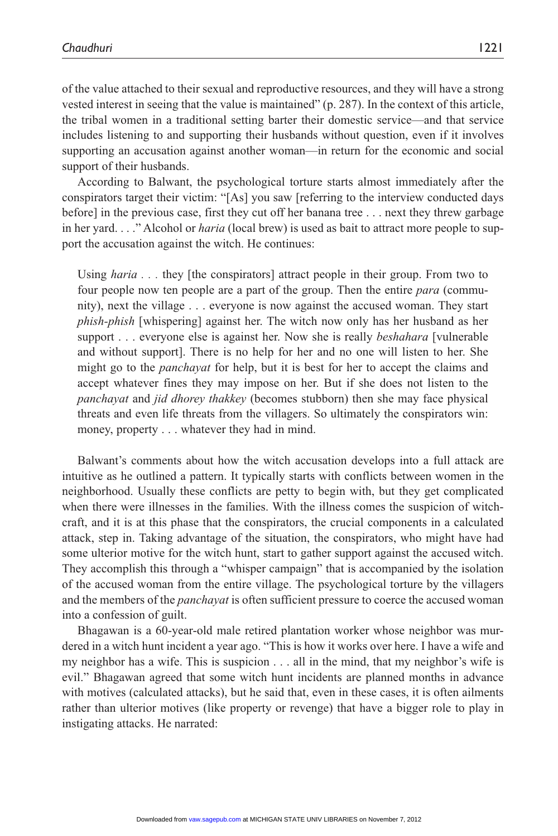of the value attached to their sexual and reproductive resources, and they will have a strong vested interest in seeing that the value is maintained" (p. 287). In the context of this article, the tribal women in a traditional setting barter their domestic service—and that service includes listening to and supporting their husbands without question, even if it involves supporting an accusation against another woman—in return for the economic and social support of their husbands.

According to Balwant, the psychological torture starts almost immediately after the conspirators target their victim: "[As] you saw [referring to the interview conducted days before] in the previous case, first they cut off her banana tree . . . next they threw garbage in her yard. . . ." Alcohol or *haria* (local brew) is used as bait to attract more people to support the accusation against the witch. He continues:

Using *haria* . . . they [the conspirators] attract people in their group. From two to four people now ten people are a part of the group. Then the entire *para* (community), next the village . . . everyone is now against the accused woman. They start *phish-phish* [whispering] against her. The witch now only has her husband as her support . . . everyone else is against her. Now she is really *beshahara* [vulnerable and without support]. There is no help for her and no one will listen to her. She might go to the *panchayat* for help, but it is best for her to accept the claims and accept whatever fines they may impose on her. But if she does not listen to the *panchayat* and *jid dhorey thakkey* (becomes stubborn) then she may face physical threats and even life threats from the villagers. So ultimately the conspirators win: money, property . . . whatever they had in mind.

Balwant's comments about how the witch accusation develops into a full attack are intuitive as he outlined a pattern. It typically starts with conflicts between women in the neighborhood. Usually these conflicts are petty to begin with, but they get complicated when there were illnesses in the families. With the illness comes the suspicion of witchcraft, and it is at this phase that the conspirators, the crucial components in a calculated attack, step in. Taking advantage of the situation, the conspirators, who might have had some ulterior motive for the witch hunt, start to gather support against the accused witch. They accomplish this through a "whisper campaign" that is accompanied by the isolation of the accused woman from the entire village. The psychological torture by the villagers and the members of the *panchayat* is often sufficient pressure to coerce the accused woman into a confession of guilt.

Bhagawan is a 60-year-old male retired plantation worker whose neighbor was murdered in a witch hunt incident a year ago. "This is how it works over here. I have a wife and my neighbor has a wife. This is suspicion . . . all in the mind, that my neighbor's wife is evil." Bhagawan agreed that some witch hunt incidents are planned months in advance with motives (calculated attacks), but he said that, even in these cases, it is often ailments rather than ulterior motives (like property or revenge) that have a bigger role to play in instigating attacks. He narrated: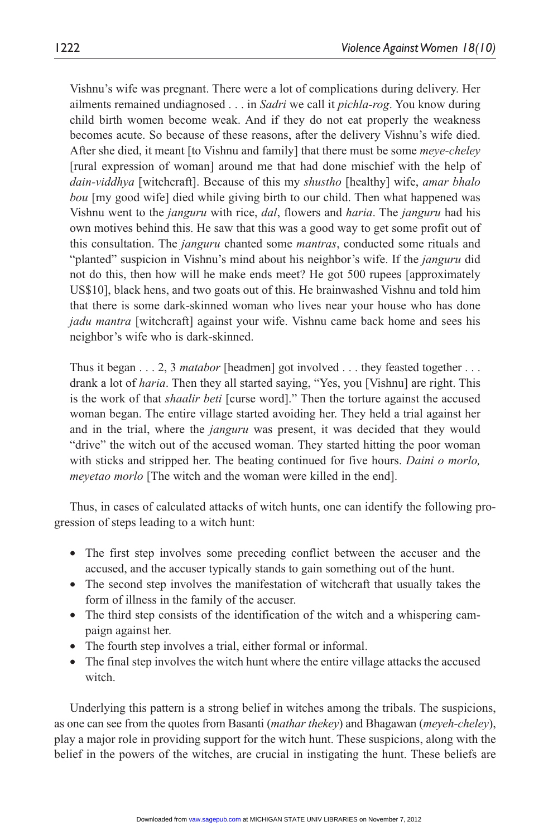Vishnu's wife was pregnant. There were a lot of complications during delivery. Her ailments remained undiagnosed . . . in *Sadri* we call it *pichla-rog*. You know during child birth women become weak. And if they do not eat properly the weakness becomes acute. So because of these reasons, after the delivery Vishnu's wife died. After she died, it meant [to Vishnu and family] that there must be some *meye-cheley* [rural expression of woman] around me that had done mischief with the help of *dain-viddhya* [witchcraft]. Because of this my *shustho* [healthy] wife, *amar bhalo bou* [my good wife] died while giving birth to our child. Then what happened was Vishnu went to the *janguru* with rice, *dal*, flowers and *haria*. The *janguru* had his own motives behind this. He saw that this was a good way to get some profit out of this consultation. The *janguru* chanted some *mantras*, conducted some rituals and "planted" suspicion in Vishnu's mind about his neighbor's wife. If the *janguru* did not do this, then how will he make ends meet? He got 500 rupees [approximately US\$10], black hens, and two goats out of this. He brainwashed Vishnu and told him that there is some dark-skinned woman who lives near your house who has done *jadu mantra* [witchcraft] against your wife. Vishnu came back home and sees his neighbor's wife who is dark-skinned.

Thus it began . . . 2, 3 *matabor* [headmen] got involved . . . they feasted together . . . drank a lot of *haria*. Then they all started saying, "Yes, you [Vishnu] are right. This is the work of that *shaalir beti* [curse word]." Then the torture against the accused woman began. The entire village started avoiding her. They held a trial against her and in the trial, where the *janguru* was present, it was decided that they would "drive" the witch out of the accused woman. They started hitting the poor woman with sticks and stripped her. The beating continued for five hours. *Daini o morlo, meyetao morlo* [The witch and the woman were killed in the end].

Thus, in cases of calculated attacks of witch hunts, one can identify the following progression of steps leading to a witch hunt:

- The first step involves some preceding conflict between the accuser and the accused, and the accuser typically stands to gain something out of the hunt.
- The second step involves the manifestation of witchcraft that usually takes the form of illness in the family of the accuser.
- The third step consists of the identification of the witch and a whispering campaign against her.
- The fourth step involves a trial, either formal or informal.
- The final step involves the witch hunt where the entire village attacks the accused witch.

Underlying this pattern is a strong belief in witches among the tribals. The suspicions, as one can see from the quotes from Basanti (*mathar thekey*) and Bhagawan (*meyeh-cheley*), play a major role in providing support for the witch hunt. These suspicions, along with the belief in the powers of the witches, are crucial in instigating the hunt. These beliefs are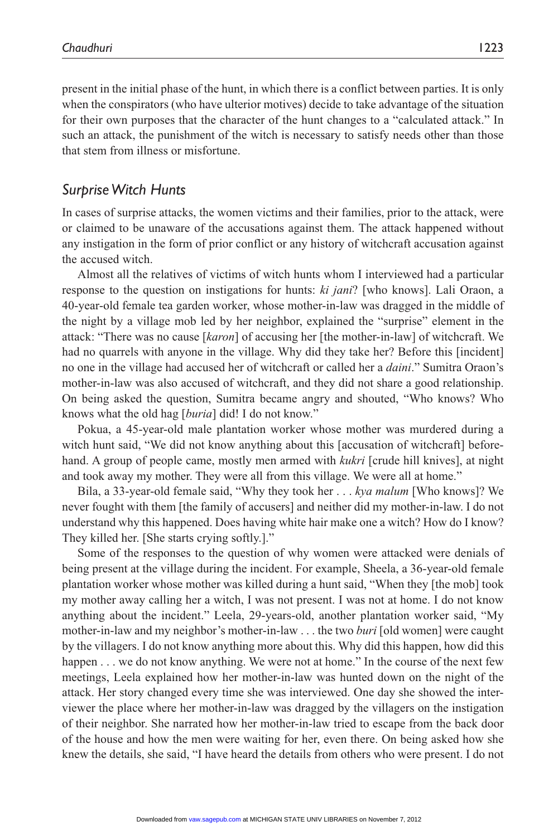present in the initial phase of the hunt, in which there is a conflict between parties. It is only when the conspirators (who have ulterior motives) decide to take advantage of the situation for their own purposes that the character of the hunt changes to a "calculated attack." In such an attack, the punishment of the witch is necessary to satisfy needs other than those that stem from illness or misfortune.

### *Surprise Witch Hunts*

In cases of surprise attacks, the women victims and their families, prior to the attack, were or claimed to be unaware of the accusations against them. The attack happened without any instigation in the form of prior conflict or any history of witchcraft accusation against the accused witch.

Almost all the relatives of victims of witch hunts whom I interviewed had a particular response to the question on instigations for hunts: *ki jani*? [who knows]. Lali Oraon, a 40-year-old female tea garden worker, whose mother-in-law was dragged in the middle of the night by a village mob led by her neighbor, explained the "surprise" element in the attack: "There was no cause [*karon*] of accusing her [the mother-in-law] of witchcraft. We had no quarrels with anyone in the village. Why did they take her? Before this [incident] no one in the village had accused her of witchcraft or called her a *daini*." Sumitra Oraon's mother-in-law was also accused of witchcraft, and they did not share a good relationship. On being asked the question, Sumitra became angry and shouted, "Who knows? Who knows what the old hag [*buria*] did! I do not know."

Pokua, a 45-year-old male plantation worker whose mother was murdered during a witch hunt said, "We did not know anything about this [accusation of witchcraft] beforehand. A group of people came, mostly men armed with *kukri* [crude hill knives], at night and took away my mother. They were all from this village. We were all at home."

Bila, a 33-year-old female said, "Why they took her . . . *kya malum* [Who knows]? We never fought with them [the family of accusers] and neither did my mother-in-law. I do not understand why this happened. Does having white hair make one a witch? How do I know? They killed her. [She starts crying softly.]."

Some of the responses to the question of why women were attacked were denials of being present at the village during the incident. For example, Sheela, a 36-year-old female plantation worker whose mother was killed during a hunt said, "When they [the mob] took my mother away calling her a witch, I was not present. I was not at home. I do not know anything about the incident." Leela, 29-years-old, another plantation worker said, "My mother-in-law and my neighbor's mother-in-law . . . the two *buri* [old women] were caught by the villagers. I do not know anything more about this. Why did this happen, how did this happen . . . we do not know anything. We were not at home." In the course of the next few meetings, Leela explained how her mother-in-law was hunted down on the night of the attack. Her story changed every time she was interviewed. One day she showed the interviewer the place where her mother-in-law was dragged by the villagers on the instigation of their neighbor. She narrated how her mother-in-law tried to escape from the back door of the house and how the men were waiting for her, even there. On being asked how she knew the details, she said, "I have heard the details from others who were present. I do not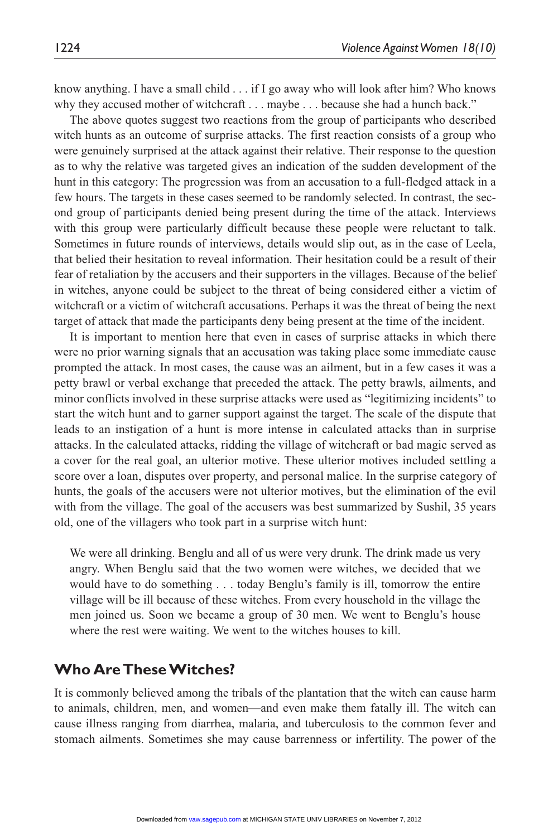know anything. I have a small child . . . if I go away who will look after him? Who knows why they accused mother of witchcraft . . . maybe . . . because she had a hunch back."

The above quotes suggest two reactions from the group of participants who described witch hunts as an outcome of surprise attacks. The first reaction consists of a group who were genuinely surprised at the attack against their relative. Their response to the question as to why the relative was targeted gives an indication of the sudden development of the hunt in this category: The progression was from an accusation to a full-fledged attack in a few hours. The targets in these cases seemed to be randomly selected. In contrast, the second group of participants denied being present during the time of the attack. Interviews with this group were particularly difficult because these people were reluctant to talk. Sometimes in future rounds of interviews, details would slip out, as in the case of Leela, that belied their hesitation to reveal information. Their hesitation could be a result of their fear of retaliation by the accusers and their supporters in the villages. Because of the belief in witches, anyone could be subject to the threat of being considered either a victim of witchcraft or a victim of witchcraft accusations. Perhaps it was the threat of being the next target of attack that made the participants deny being present at the time of the incident.

It is important to mention here that even in cases of surprise attacks in which there were no prior warning signals that an accusation was taking place some immediate cause prompted the attack. In most cases, the cause was an ailment, but in a few cases it was a petty brawl or verbal exchange that preceded the attack. The petty brawls, ailments, and minor conflicts involved in these surprise attacks were used as "legitimizing incidents" to start the witch hunt and to garner support against the target. The scale of the dispute that leads to an instigation of a hunt is more intense in calculated attacks than in surprise attacks. In the calculated attacks, ridding the village of witchcraft or bad magic served as a cover for the real goal, an ulterior motive. These ulterior motives included settling a score over a loan, disputes over property, and personal malice. In the surprise category of hunts, the goals of the accusers were not ulterior motives, but the elimination of the evil with from the village. The goal of the accusers was best summarized by Sushil, 35 years old, one of the villagers who took part in a surprise witch hunt:

We were all drinking. Benglu and all of us were very drunk. The drink made us very angry. When Benglu said that the two women were witches, we decided that we would have to do something . . . today Benglu's family is ill, tomorrow the entire village will be ill because of these witches. From every household in the village the men joined us. Soon we became a group of 30 men. We went to Benglu's house where the rest were waiting. We went to the witches houses to kill.

#### **Who Are These Witches?**

It is commonly believed among the tribals of the plantation that the witch can cause harm to animals, children, men, and women—and even make them fatally ill. The witch can cause illness ranging from diarrhea, malaria, and tuberculosis to the common fever and stomach ailments. Sometimes she may cause barrenness or infertility. The power of the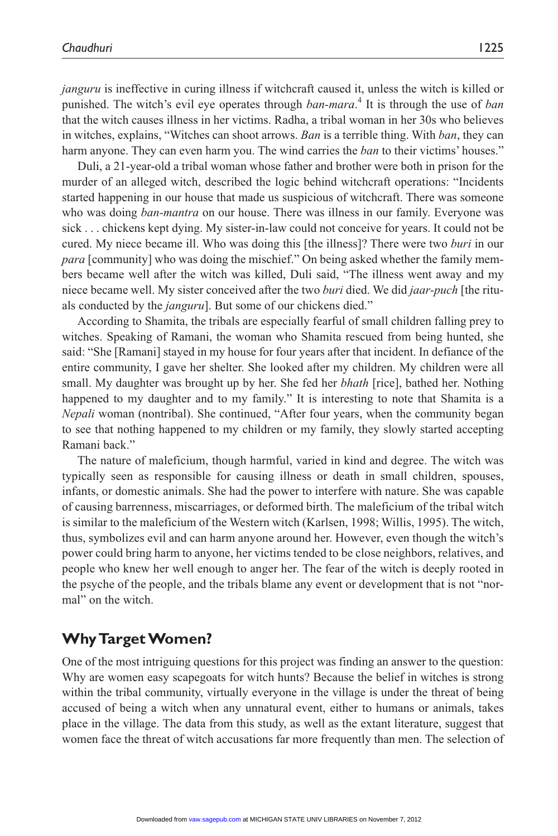*janguru* is ineffective in curing illness if witchcraft caused it, unless the witch is killed or punished. The witch's evil eye operates through *ban-mara*. 4 It is through the use of *ban* that the witch causes illness in her victims. Radha, a tribal woman in her 30s who believes in witches, explains, "Witches can shoot arrows. *Ban* is a terrible thing. With *ban*, they can harm anyone. They can even harm you. The wind carries the *ban* to their victims' houses."

Duli, a 21-year-old a tribal woman whose father and brother were both in prison for the murder of an alleged witch, described the logic behind witchcraft operations: "Incidents started happening in our house that made us suspicious of witchcraft. There was someone who was doing *ban-mantra* on our house. There was illness in our family. Everyone was sick . . . chickens kept dying. My sister-in-law could not conceive for years. It could not be cured. My niece became ill. Who was doing this [the illness]? There were two *buri* in our *para* [community] who was doing the mischief." On being asked whether the family members became well after the witch was killed, Duli said, "The illness went away and my niece became well. My sister conceived after the two *buri* died. We did *jaar-puch* [the rituals conducted by the *janguru*]. But some of our chickens died."

According to Shamita, the tribals are especially fearful of small children falling prey to witches. Speaking of Ramani, the woman who Shamita rescued from being hunted, she said: "She [Ramani] stayed in my house for four years after that incident. In defiance of the entire community, I gave her shelter. She looked after my children. My children were all small. My daughter was brought up by her. She fed her *bhath* [rice], bathed her. Nothing happened to my daughter and to my family." It is interesting to note that Shamita is a *Nepali* woman (nontribal). She continued, "After four years, when the community began to see that nothing happened to my children or my family, they slowly started accepting Ramani back."

The nature of maleficium, though harmful, varied in kind and degree. The witch was typically seen as responsible for causing illness or death in small children, spouses, infants, or domestic animals. She had the power to interfere with nature. She was capable of causing barrenness, miscarriages, or deformed birth. The maleficium of the tribal witch is similar to the maleficium of the Western witch (Karlsen, 1998; Willis, 1995). The witch, thus, symbolizes evil and can harm anyone around her. However, even though the witch's power could bring harm to anyone, her victims tended to be close neighbors, relatives, and people who knew her well enough to anger her. The fear of the witch is deeply rooted in the psyche of the people, and the tribals blame any event or development that is not "normal" on the witch.

## **Why Target Women?**

One of the most intriguing questions for this project was finding an answer to the question: Why are women easy scapegoats for witch hunts? Because the belief in witches is strong within the tribal community, virtually everyone in the village is under the threat of being accused of being a witch when any unnatural event, either to humans or animals, takes place in the village. The data from this study, as well as the extant literature, suggest that women face the threat of witch accusations far more frequently than men. The selection of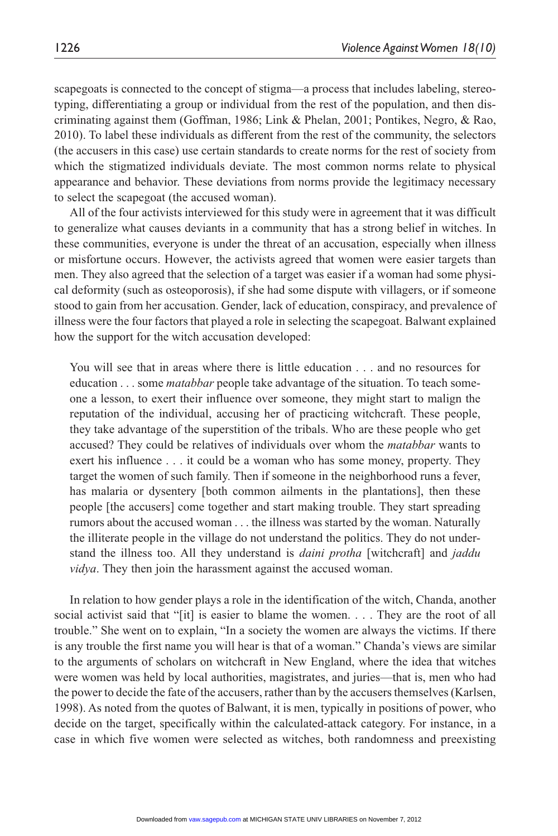scapegoats is connected to the concept of stigma—a process that includes labeling, stereotyping, differentiating a group or individual from the rest of the population, and then discriminating against them (Goffman, 1986; Link & Phelan, 2001; Pontikes, Negro, & Rao, 2010). To label these individuals as different from the rest of the community, the selectors (the accusers in this case) use certain standards to create norms for the rest of society from which the stigmatized individuals deviate. The most common norms relate to physical appearance and behavior. These deviations from norms provide the legitimacy necessary to select the scapegoat (the accused woman).

All of the four activists interviewed for this study were in agreement that it was difficult to generalize what causes deviants in a community that has a strong belief in witches. In these communities, everyone is under the threat of an accusation, especially when illness or misfortune occurs. However, the activists agreed that women were easier targets than men. They also agreed that the selection of a target was easier if a woman had some physical deformity (such as osteoporosis), if she had some dispute with villagers, or if someone stood to gain from her accusation. Gender, lack of education, conspiracy, and prevalence of illness were the four factors that played a role in selecting the scapegoat. Balwant explained how the support for the witch accusation developed:

You will see that in areas where there is little education . . . and no resources for education . . . some *matabbar* people take advantage of the situation. To teach someone a lesson, to exert their influence over someone, they might start to malign the reputation of the individual, accusing her of practicing witchcraft. These people, they take advantage of the superstition of the tribals. Who are these people who get accused? They could be relatives of individuals over whom the *matabbar* wants to exert his influence . . . it could be a woman who has some money, property. They target the women of such family. Then if someone in the neighborhood runs a fever, has malaria or dysentery [both common ailments in the plantations], then these people [the accusers] come together and start making trouble. They start spreading rumors about the accused woman . . . the illness was started by the woman. Naturally the illiterate people in the village do not understand the politics. They do not understand the illness too. All they understand is *daini protha* [witchcraft] and *jaddu vidya*. They then join the harassment against the accused woman.

In relation to how gender plays a role in the identification of the witch, Chanda, another social activist said that "[it] is easier to blame the women. . . . They are the root of all trouble." She went on to explain, "In a society the women are always the victims. If there is any trouble the first name you will hear is that of a woman." Chanda's views are similar to the arguments of scholars on witchcraft in New England, where the idea that witches were women was held by local authorities, magistrates, and juries—that is, men who had the power to decide the fate of the accusers, rather than by the accusers themselves (Karlsen, 1998). As noted from the quotes of Balwant, it is men, typically in positions of power, who decide on the target, specifically within the calculated-attack category. For instance, in a case in which five women were selected as witches, both randomness and preexisting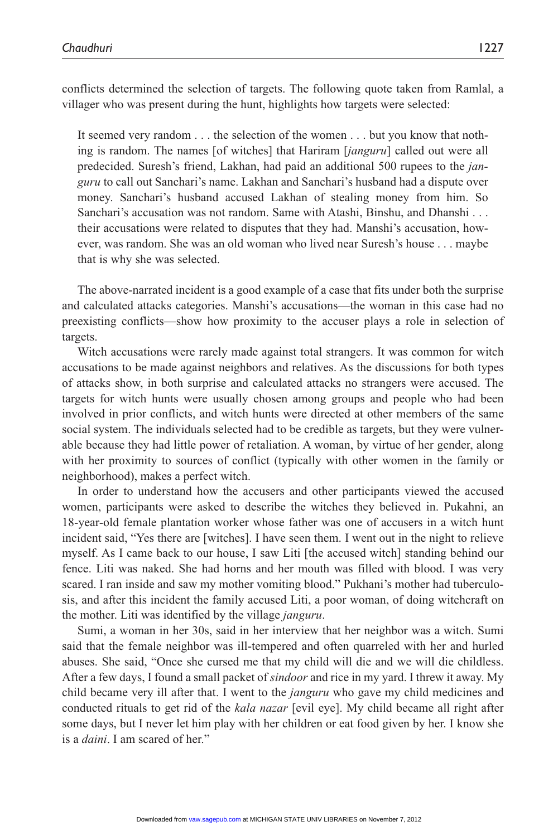conflicts determined the selection of targets. The following quote taken from Ramlal, a villager who was present during the hunt, highlights how targets were selected:

It seemed very random . . . the selection of the women . . . but you know that nothing is random. The names [of witches] that Hariram [*janguru*] called out were all predecided. Suresh's friend, Lakhan, had paid an additional 500 rupees to the *janguru* to call out Sanchari's name. Lakhan and Sanchari's husband had a dispute over money. Sanchari's husband accused Lakhan of stealing money from him. So Sanchari's accusation was not random. Same with Atashi, Binshu, and Dhanshi . . . their accusations were related to disputes that they had. Manshi's accusation, however, was random. She was an old woman who lived near Suresh's house . . . maybe that is why she was selected.

The above-narrated incident is a good example of a case that fits under both the surprise and calculated attacks categories. Manshi's accusations—the woman in this case had no preexisting conflicts—show how proximity to the accuser plays a role in selection of targets.

Witch accusations were rarely made against total strangers. It was common for witch accusations to be made against neighbors and relatives. As the discussions for both types of attacks show, in both surprise and calculated attacks no strangers were accused. The targets for witch hunts were usually chosen among groups and people who had been involved in prior conflicts, and witch hunts were directed at other members of the same social system. The individuals selected had to be credible as targets, but they were vulnerable because they had little power of retaliation. A woman, by virtue of her gender, along with her proximity to sources of conflict (typically with other women in the family or neighborhood), makes a perfect witch.

In order to understand how the accusers and other participants viewed the accused women, participants were asked to describe the witches they believed in. Pukahni, an 18-year-old female plantation worker whose father was one of accusers in a witch hunt incident said, "Yes there are [witches]. I have seen them. I went out in the night to relieve myself. As I came back to our house, I saw Liti [the accused witch] standing behind our fence. Liti was naked. She had horns and her mouth was filled with blood. I was very scared. I ran inside and saw my mother vomiting blood." Pukhani's mother had tuberculosis, and after this incident the family accused Liti, a poor woman, of doing witchcraft on the mother. Liti was identified by the village *janguru*.

Sumi, a woman in her 30s, said in her interview that her neighbor was a witch. Sumi said that the female neighbor was ill-tempered and often quarreled with her and hurled abuses. She said, "Once she cursed me that my child will die and we will die childless. After a few days, I found a small packet of *sindoor* and rice in my yard. I threw it away. My child became very ill after that. I went to the *janguru* who gave my child medicines and conducted rituals to get rid of the *kala nazar* [evil eye]. My child became all right after some days, but I never let him play with her children or eat food given by her. I know she is a *daini*. I am scared of her."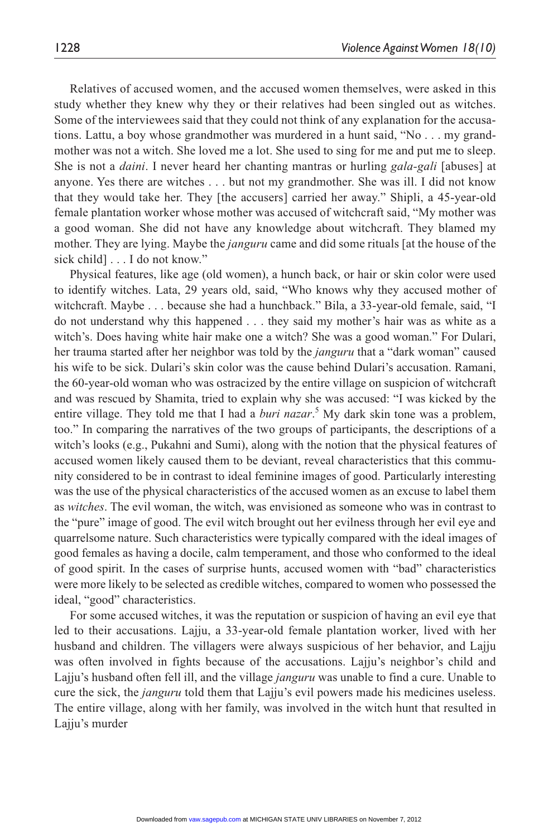Relatives of accused women, and the accused women themselves, were asked in this study whether they knew why they or their relatives had been singled out as witches. Some of the interviewees said that they could not think of any explanation for the accusations. Lattu, a boy whose grandmother was murdered in a hunt said, "No . . . my grandmother was not a witch. She loved me a lot. She used to sing for me and put me to sleep. She is not a *daini*. I never heard her chanting mantras or hurling *gala-gali* [abuses] at anyone. Yes there are witches . . . but not my grandmother. She was ill. I did not know that they would take her. They [the accusers] carried her away." Shipli, a 45-year-old female plantation worker whose mother was accused of witchcraft said, "My mother was a good woman. She did not have any knowledge about witchcraft. They blamed my mother. They are lying. Maybe the *janguru* came and did some rituals [at the house of the sick child]  $\ldots$  I do not know."

Physical features, like age (old women), a hunch back, or hair or skin color were used to identify witches. Lata, 29 years old, said, "Who knows why they accused mother of witchcraft. Maybe . . . because she had a hunchback." Bila, a 33-year-old female, said, "I do not understand why this happened . . . they said my mother's hair was as white as a witch's. Does having white hair make one a witch? She was a good woman." For Dulari, her trauma started after her neighbor was told by the *janguru* that a "dark woman" caused his wife to be sick. Dulari's skin color was the cause behind Dulari's accusation. Ramani, the 60-year-old woman who was ostracized by the entire village on suspicion of witchcraft and was rescued by Shamita, tried to explain why she was accused: "I was kicked by the entire village. They told me that I had a *buri nazar*.<sup>5</sup> My dark skin tone was a problem, too." In comparing the narratives of the two groups of participants, the descriptions of a witch's looks (e.g., Pukahni and Sumi), along with the notion that the physical features of accused women likely caused them to be deviant, reveal characteristics that this community considered to be in contrast to ideal feminine images of good. Particularly interesting was the use of the physical characteristics of the accused women as an excuse to label them as *witches*. The evil woman, the witch, was envisioned as someone who was in contrast to the "pure" image of good. The evil witch brought out her evilness through her evil eye and quarrelsome nature. Such characteristics were typically compared with the ideal images of good females as having a docile, calm temperament, and those who conformed to the ideal of good spirit. In the cases of surprise hunts, accused women with "bad" characteristics were more likely to be selected as credible witches, compared to women who possessed the ideal, "good" characteristics.

For some accused witches, it was the reputation or suspicion of having an evil eye that led to their accusations. Lajju, a 33-year-old female plantation worker, lived with her husband and children. The villagers were always suspicious of her behavior, and Lajju was often involved in fights because of the accusations. Lajju's neighbor's child and Lajju's husband often fell ill, and the village *janguru* was unable to find a cure. Unable to cure the sick, the *janguru* told them that Lajju's evil powers made his medicines useless. The entire village, along with her family, was involved in the witch hunt that resulted in Lajju's murder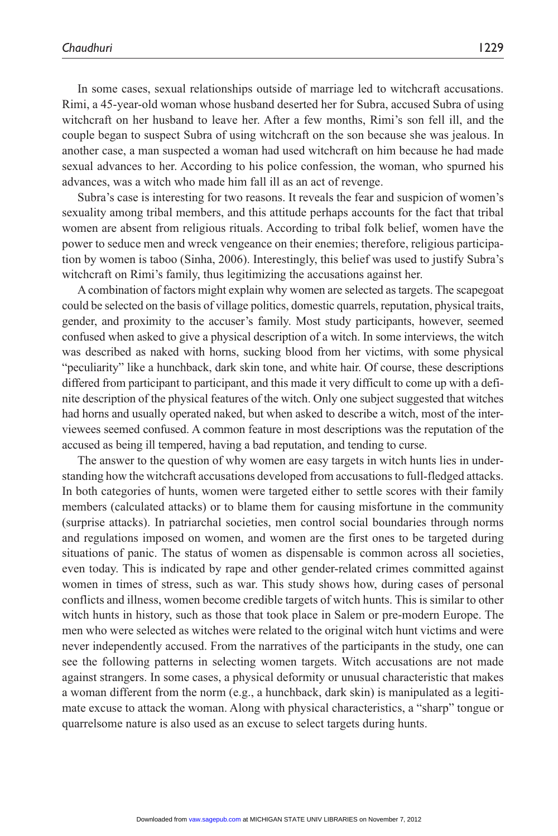In some cases, sexual relationships outside of marriage led to witchcraft accusations. Rimi, a 45-year-old woman whose husband deserted her for Subra, accused Subra of using witchcraft on her husband to leave her. After a few months, Rimi's son fell ill, and the couple began to suspect Subra of using witchcraft on the son because she was jealous. In another case, a man suspected a woman had used witchcraft on him because he had made sexual advances to her. According to his police confession, the woman, who spurned his advances, was a witch who made him fall ill as an act of revenge.

Subra's case is interesting for two reasons. It reveals the fear and suspicion of women's sexuality among tribal members, and this attitude perhaps accounts for the fact that tribal women are absent from religious rituals. According to tribal folk belief, women have the power to seduce men and wreck vengeance on their enemies; therefore, religious participation by women is taboo (Sinha, 2006). Interestingly, this belief was used to justify Subra's witchcraft on Rimi's family, thus legitimizing the accusations against her.

A combination of factors might explain why women are selected as targets. The scapegoat could be selected on the basis of village politics, domestic quarrels, reputation, physical traits, gender, and proximity to the accuser's family. Most study participants, however, seemed confused when asked to give a physical description of a witch. In some interviews, the witch was described as naked with horns, sucking blood from her victims, with some physical "peculiarity" like a hunchback, dark skin tone, and white hair. Of course, these descriptions differed from participant to participant, and this made it very difficult to come up with a definite description of the physical features of the witch. Only one subject suggested that witches had horns and usually operated naked, but when asked to describe a witch, most of the interviewees seemed confused. A common feature in most descriptions was the reputation of the accused as being ill tempered, having a bad reputation, and tending to curse.

The answer to the question of why women are easy targets in witch hunts lies in understanding how the witchcraft accusations developed from accusations to full-fledged attacks. In both categories of hunts, women were targeted either to settle scores with their family members (calculated attacks) or to blame them for causing misfortune in the community (surprise attacks). In patriarchal societies, men control social boundaries through norms and regulations imposed on women, and women are the first ones to be targeted during situations of panic. The status of women as dispensable is common across all societies, even today. This is indicated by rape and other gender-related crimes committed against women in times of stress, such as war. This study shows how, during cases of personal conflicts and illness, women become credible targets of witch hunts. This is similar to other witch hunts in history, such as those that took place in Salem or pre-modern Europe. The men who were selected as witches were related to the original witch hunt victims and were never independently accused. From the narratives of the participants in the study, one can see the following patterns in selecting women targets. Witch accusations are not made against strangers. In some cases, a physical deformity or unusual characteristic that makes a woman different from the norm (e.g., a hunchback, dark skin) is manipulated as a legitimate excuse to attack the woman. Along with physical characteristics, a "sharp" tongue or quarrelsome nature is also used as an excuse to select targets during hunts.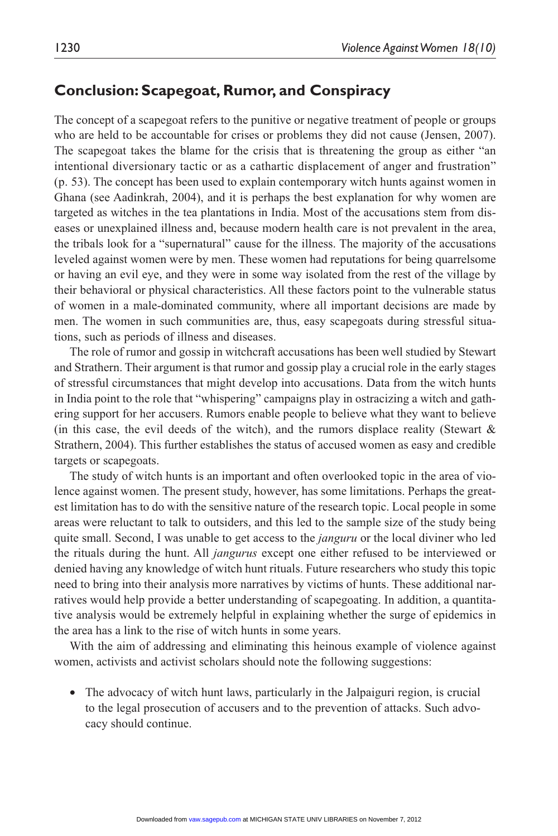# **Conclusion: Scapegoat, Rumor, and Conspiracy**

The concept of a scapegoat refers to the punitive or negative treatment of people or groups who are held to be accountable for crises or problems they did not cause (Jensen, 2007). The scapegoat takes the blame for the crisis that is threatening the group as either "an intentional diversionary tactic or as a cathartic displacement of anger and frustration" (p. 53). The concept has been used to explain contemporary witch hunts against women in Ghana (see Aadinkrah, 2004), and it is perhaps the best explanation for why women are targeted as witches in the tea plantations in India. Most of the accusations stem from diseases or unexplained illness and, because modern health care is not prevalent in the area, the tribals look for a "supernatural" cause for the illness. The majority of the accusations leveled against women were by men. These women had reputations for being quarrelsome or having an evil eye, and they were in some way isolated from the rest of the village by their behavioral or physical characteristics. All these factors point to the vulnerable status of women in a male-dominated community, where all important decisions are made by men. The women in such communities are, thus, easy scapegoats during stressful situations, such as periods of illness and diseases.

The role of rumor and gossip in witchcraft accusations has been well studied by Stewart and Strathern. Their argument is that rumor and gossip play a crucial role in the early stages of stressful circumstances that might develop into accusations. Data from the witch hunts in India point to the role that "whispering" campaigns play in ostracizing a witch and gathering support for her accusers. Rumors enable people to believe what they want to believe (in this case, the evil deeds of the witch), and the rumors displace reality (Stewart  $\&$ Strathern, 2004). This further establishes the status of accused women as easy and credible targets or scapegoats.

The study of witch hunts is an important and often overlooked topic in the area of violence against women. The present study, however, has some limitations. Perhaps the greatest limitation has to do with the sensitive nature of the research topic. Local people in some areas were reluctant to talk to outsiders, and this led to the sample size of the study being quite small. Second, I was unable to get access to the *janguru* or the local diviner who led the rituals during the hunt. All *jangurus* except one either refused to be interviewed or denied having any knowledge of witch hunt rituals. Future researchers who study this topic need to bring into their analysis more narratives by victims of hunts. These additional narratives would help provide a better understanding of scapegoating. In addition, a quantitative analysis would be extremely helpful in explaining whether the surge of epidemics in the area has a link to the rise of witch hunts in some years.

With the aim of addressing and eliminating this heinous example of violence against women, activists and activist scholars should note the following suggestions:

• The advocacy of witch hunt laws, particularly in the Jalpaiguri region, is crucial to the legal prosecution of accusers and to the prevention of attacks. Such advocacy should continue.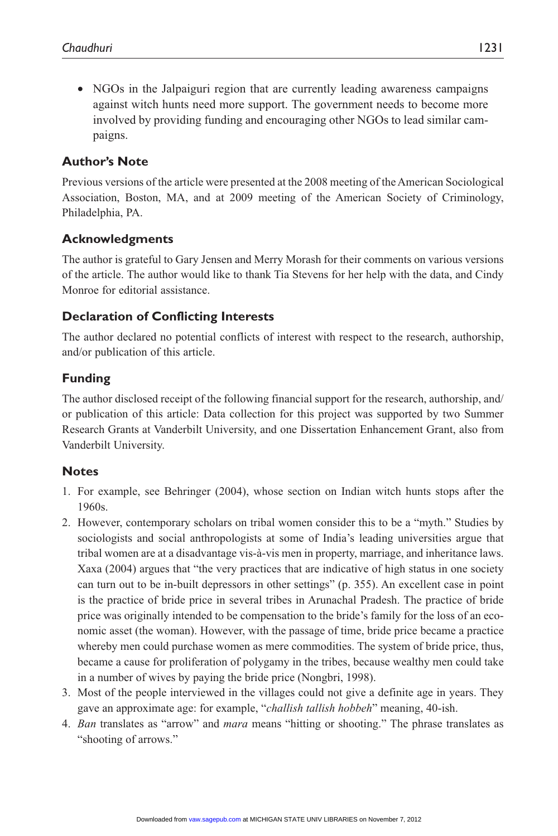• NGOs in the Jalpaiguri region that are currently leading awareness campaigns against witch hunts need more support. The government needs to become more involved by providing funding and encouraging other NGOs to lead similar campaigns.

#### **Author's Note**

Previous versions of the article were presented at the 2008 meeting of the American Sociological Association, Boston, MA, and at 2009 meeting of the American Society of Criminology, Philadelphia, PA.

#### **Acknowledgments**

The author is grateful to Gary Jensen and Merry Morash for their comments on various versions of the article. The author would like to thank Tia Stevens for her help with the data, and Cindy Monroe for editorial assistance.

### **Declaration of Conflicting Interests**

The author declared no potential conflicts of interest with respect to the research, authorship, and/or publication of this article.

#### **Funding**

The author disclosed receipt of the following financial support for the research, authorship, and/ or publication of this article: Data collection for this project was supported by two Summer Research Grants at Vanderbilt University, and one Dissertation Enhancement Grant, also from Vanderbilt University.

#### **Notes**

- 1. For example, see Behringer (2004), whose section on Indian witch hunts stops after the 1960s.
- 2. However, contemporary scholars on tribal women consider this to be a "myth." Studies by sociologists and social anthropologists at some of India's leading universities argue that tribal women are at a disadvantage vis-à-vis men in property, marriage, and inheritance laws. Xaxa (2004) argues that "the very practices that are indicative of high status in one society can turn out to be in-built depressors in other settings" (p. 355). An excellent case in point is the practice of bride price in several tribes in Arunachal Pradesh. The practice of bride price was originally intended to be compensation to the bride's family for the loss of an economic asset (the woman). However, with the passage of time, bride price became a practice whereby men could purchase women as mere commodities. The system of bride price, thus, became a cause for proliferation of polygamy in the tribes, because wealthy men could take in a number of wives by paying the bride price (Nongbri, 1998).
- 3. Most of the people interviewed in the villages could not give a definite age in years. They gave an approximate age: for example, "*challish tallish hobbeh*" meaning, 40-ish.
- 4. *Ban* translates as "arrow" and *mara* means "hitting or shooting." The phrase translates as "shooting of arrows."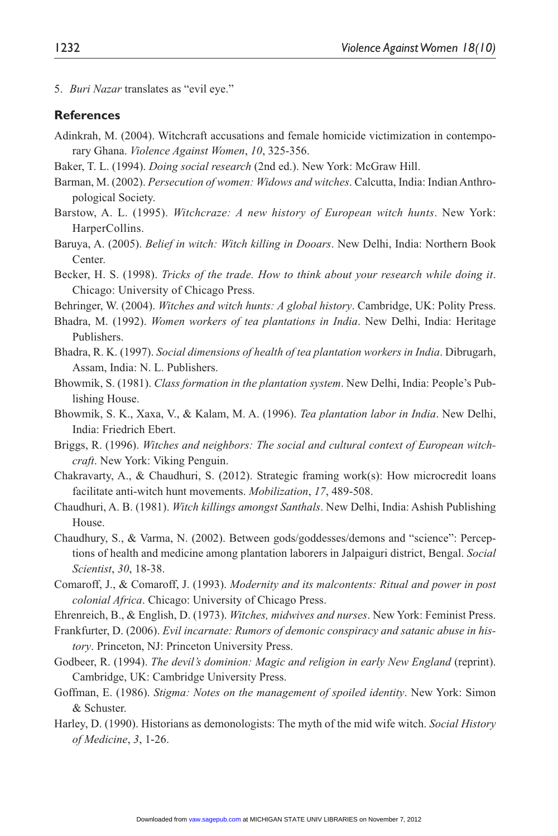5. *Buri Nazar* translates as "evil eye."

#### **References**

- Adinkrah, M. (2004). Witchcraft accusations and female homicide victimization in contemporary Ghana. *Violence Against Women*, *10*, 325-356.
- Baker, T. L. (1994). *Doing social research* (2nd ed.). New York: McGraw Hill.
- Barman, M. (2002). *Persecution of women: Widows and witches*. Calcutta, India: Indian Anthropological Society.
- Barstow, A. L. (1995). *Witchcraze: A new history of European witch hunts*. New York: HarperCollins.
- Baruya, A. (2005). *Belief in witch: Witch killing in Dooars*. New Delhi, India: Northern Book Center.
- Becker, H. S. (1998). *Tricks of the trade. How to think about your research while doing it*. Chicago: University of Chicago Press.
- Behringer, W. (2004). *Witches and witch hunts: A global history*. Cambridge, UK: Polity Press.
- Bhadra, M. (1992). *Women workers of tea plantations in India*. New Delhi, India: Heritage Publishers.
- Bhadra, R. K. (1997). *Social dimensions of health of tea plantation workers in India*. Dibrugarh, Assam, India: N. L. Publishers.
- Bhowmik, S. (1981). *Class formation in the plantation system*. New Delhi, India: People's Publishing House.
- Bhowmik, S. K., Xaxa, V., & Kalam, M. A. (1996). *Tea plantation labor in India*. New Delhi, India: Friedrich Ebert.
- Briggs, R. (1996). *Witches and neighbors: The social and cultural context of European witchcraft*. New York: Viking Penguin.
- Chakravarty, A., & Chaudhuri, S. (2012). Strategic framing work(s): How microcredit loans facilitate anti-witch hunt movements. *Mobilization*, *17*, 489-508.
- Chaudhuri, A. B. (1981). *Witch killings amongst Santhals*. New Delhi, India: Ashish Publishing House.
- Chaudhury, S., & Varma, N. (2002). Between gods/goddesses/demons and "science": Perceptions of health and medicine among plantation laborers in Jalpaiguri district, Bengal. *Social Scientist*, *30*, 18-38.
- Comaroff, J., & Comaroff, J. (1993). *Modernity and its malcontents: Ritual and power in post colonial Africa*. Chicago: University of Chicago Press.
- Ehrenreich, B., & English, D. (1973). *Witches, midwives and nurses*. New York: Feminist Press.
- Frankfurter, D. (2006). *Evil incarnate: Rumors of demonic conspiracy and satanic abuse in history*. Princeton, NJ: Princeton University Press.
- Godbeer, R. (1994). *The devil's dominion: Magic and religion in early New England* (reprint). Cambridge, UK: Cambridge University Press.
- Goffman, E. (1986). *Stigma: Notes on the management of spoiled identity*. New York: Simon & Schuster.
- Harley, D. (1990). Historians as demonologists: The myth of the mid wife witch. *Social History of Medicine*, *3*, 1-26.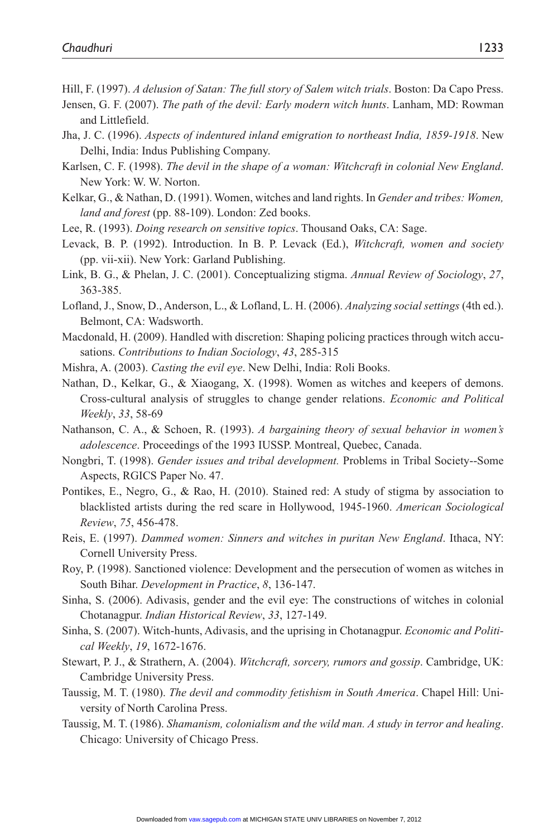Hill, F. (1997). *A delusion of Satan: The full story of Salem witch trials*. Boston: Da Capo Press.

- Jensen, G. F. (2007). *The path of the devil: Early modern witch hunts*. Lanham, MD: Rowman and Littlefield.
- Jha, J. C. (1996). *Aspects of indentured inland emigration to northeast India, 1859-1918*. New Delhi, India: Indus Publishing Company.
- Karlsen, C. F. (1998). *The devil in the shape of a woman: Witchcraft in colonial New England*. New York: W. W. Norton.
- Kelkar, G., & Nathan, D. (1991). Women, witches and land rights. In *Gender and tribes: Women, land and forest* (pp. 88-109). London: Zed books.
- Lee, R. (1993). *Doing research on sensitive topics*. Thousand Oaks, CA: Sage.
- Levack, B. P. (1992). Introduction. In B. P. Levack (Ed.), *Witchcraft, women and society* (pp. vii-xii). New York: Garland Publishing.
- Link, B. G., & Phelan, J. C. (2001). Conceptualizing stigma. *Annual Review of Sociology*, *27*, 363-385.
- Lofland, J., Snow, D., Anderson, L., & Lofland, L. H. (2006). *Analyzing social settings* (4th ed.). Belmont, CA: Wadsworth.
- Macdonald, H. (2009). Handled with discretion: Shaping policing practices through witch accusations. *Contributions to Indian Sociology*, *43*, 285-315
- Mishra, A. (2003). *Casting the evil eye*. New Delhi, India: Roli Books.
- Nathan, D., Kelkar, G., & Xiaogang, X. (1998). Women as witches and keepers of demons. Cross-cultural analysis of struggles to change gender relations. *Economic and Political Weekly*, *33*, 58-69
- Nathanson, C. A., & Schoen, R. (1993). *A bargaining theory of sexual behavior in women's adolescence*. Proceedings of the 1993 IUSSP. Montreal, Quebec, Canada.
- Nongbri, T. (1998). *Gender issues and tribal development.* Problems in Tribal Society--Some Aspects, RGICS Paper No. 47.
- Pontikes, E., Negro, G., & Rao, H. (2010). Stained red: A study of stigma by association to blacklisted artists during the red scare in Hollywood, 1945-1960. *American Sociological Review*, *75*, 456-478.
- Reis, E. (1997). *Dammed women: Sinners and witches in puritan New England*. Ithaca, NY: Cornell University Press.
- Roy, P. (1998). Sanctioned violence: Development and the persecution of women as witches in South Bihar. *Development in Practice*, *8*, 136-147.
- Sinha, S. (2006). Adivasis, gender and the evil eye: The constructions of witches in colonial Chotanagpur. *Indian Historical Review*, *33*, 127-149.
- Sinha, S. (2007). Witch-hunts, Adivasis, and the uprising in Chotanagpur. *Economic and Political Weekly*, *19*, 1672-1676.
- Stewart, P. J., & Strathern, A. (2004). *Witchcraft, sorcery, rumors and gossip*. Cambridge, UK: Cambridge University Press.
- Taussig, M. T. (1980). *The devil and commodity fetishism in South America*. Chapel Hill: University of North Carolina Press.
- Taussig, M. T. (1986). *Shamanism, colonialism and the wild man. A study in terror and healing*. Chicago: University of Chicago Press.